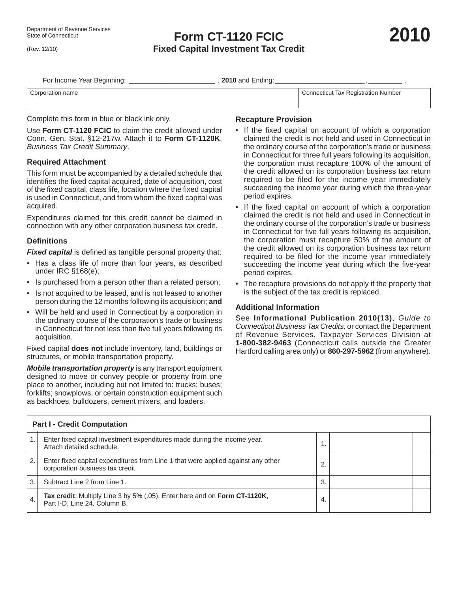(Rev. 12/10)

# **Form CT-1120 FCIC Fixed Capital Investment Tax Credit**

| For Income Year Beginning: | , 2010 and Ending: |                                     |
|----------------------------|--------------------|-------------------------------------|
| Corporation name           |                    | Connecticut Tax Registration Number |

Complete this form in blue or black ink only.

Use **Form CT-1120 FCIC** to claim the credit allowed under Conn. Gen. Stat. §12-217w. Attach it to **Form CT-1120K**, *Business Tax Credit Summary*.

#### **Required Attachment**

This form must be accompanied by a detailed schedule that identifies the fixed capital acquired, date of acquisition, cost of the fixed capital, class life, location where the fixed capital is used in Connecticut, and from whom the fixed capital was acquired.

Expenditures claimed for this credit cannot be claimed in connection with any other corporation business tax credit.

## **Defi nitions**

**Fixed capital** is defined as tangible personal property that:

- Has a class life of more than four years, as described under IRC §168(e);
- Is purchased from a person other than a related person;
- Is not acquired to be leased, and is not leased to another person during the 12 months following its acquisition; **and**
- Will be held and used in Connecticut by a corporation in the ordinary course of the corporation's trade or business in Connecticut for not less than five full years following its acquisition.

Fixed capital **does not** include inventory, land, buildings or structures, or mobile transportation property.

*Mobile transportation property* is any transport equipment designed to move or convey people or property from one place to another, including but not limited to: trucks; buses; forklifts; snowplows; or certain construction equipment such as backhoes, bulldozers, cement mixers, and loaders.

### **Recapture Provision**

- If the fixed capital on account of which a corporation claimed the credit is not held and used in Connecticut in the ordinary course of the corporation's trade or business in Connecticut for three full years following its acquisition, the corporation must recapture 100% of the amount of the credit allowed on its corporation business tax return required to be filed for the income year immediately succeeding the income year during which the three-year period expires.
- If the fixed capital on account of which a corporation claimed the credit is not held and used in Connecticut in the ordinary course of the corporation's trade or business in Connecticut for five full years following its acquisition, the corporation must recapture 50% of the amount of the credit allowed on its corporation business tax return required to be filed for the income year immediately succeeding the income year during which the five-year period expires.
- The recapture provisions do not apply if the property that is the subject of the tax credit is replaced.

## **Additional Information**

See **Informational Publication 2010(13)**, *Guide to Connecticut Business Tax Credits,* or contact the Department of Revenue Services, Taxpayer Services Division at **1-800-382-9463** (Connecticut calls outside the Greater Hartford calling area only) or **860-297-5962** (from anywhere).

| <b>Part I - Credit Computation</b> |                                                                                                                      |     |  |  |  |
|------------------------------------|----------------------------------------------------------------------------------------------------------------------|-----|--|--|--|
|                                    | Enter fixed capital investment expenditures made during the income year.<br>Attach detailed schedule.                |     |  |  |  |
| 2.                                 | Enter fixed capital expenditures from Line 1 that were applied against any other<br>corporation business tax credit. |     |  |  |  |
| 3.                                 | Subtract Line 2 from Line 1.                                                                                         | 3.  |  |  |  |
| 4.                                 | Tax credit: Multiply Line 3 by 5% (.05). Enter here and on Form CT-1120K,<br>Part I-D, Line 24, Column B.            | -4. |  |  |  |